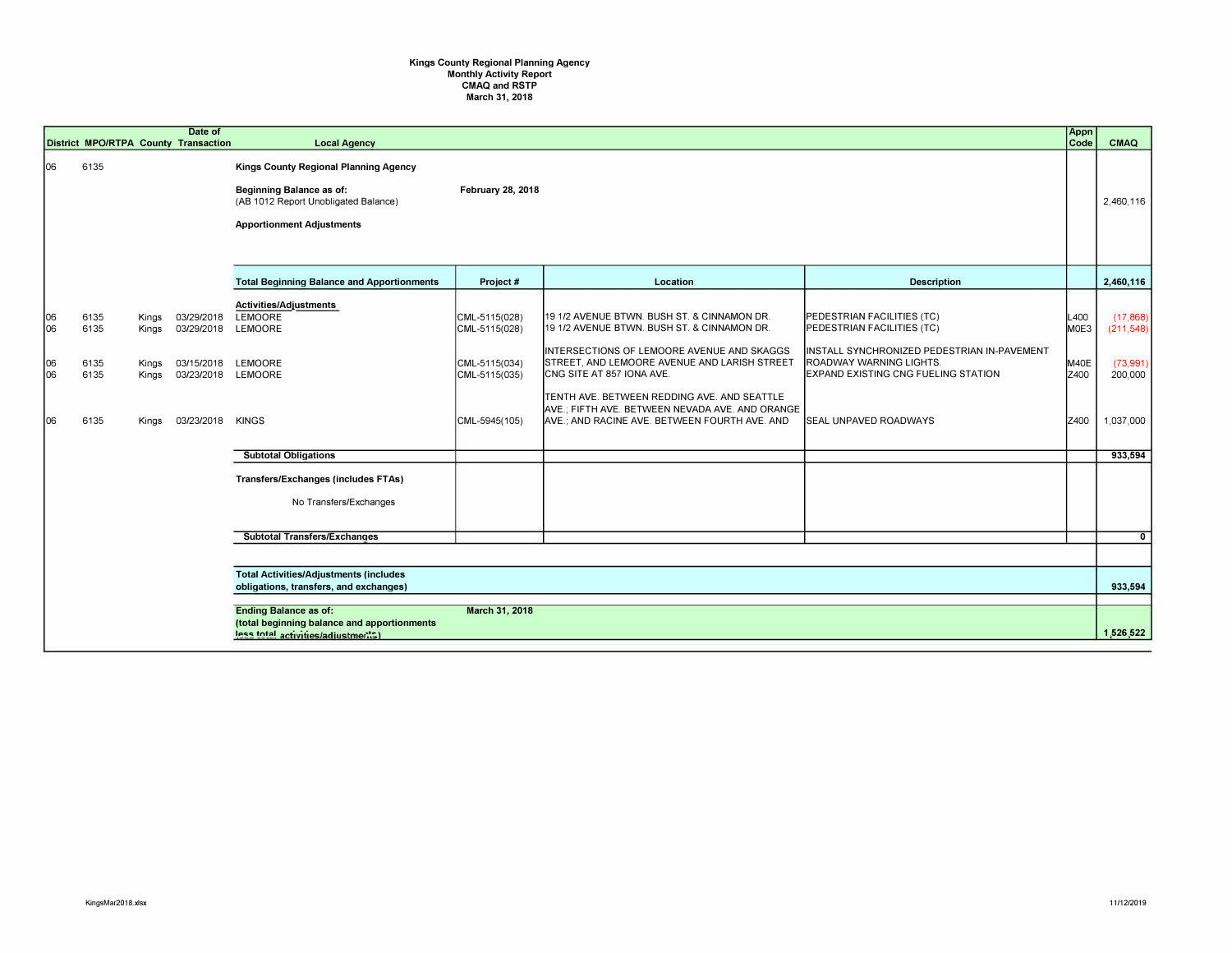## Kings County Regional Planning Agency<br>Monthly Activity Report<br>CMAQ and RSTP<br>March 31, 2018

|                              |                                                                                                                                     |                                           | Date of<br>District MPO/RTPA County Transaction                                          | <b>Local Agency</b>                                                                                                                                         |                                                                                   |                                                                                                                                                                                                                                                                                                                                                                          |                                                                                                                                                                                                                  | Appn<br>Code                         | CMAQ                                                                  |
|------------------------------|-------------------------------------------------------------------------------------------------------------------------------------|-------------------------------------------|------------------------------------------------------------------------------------------|-------------------------------------------------------------------------------------------------------------------------------------------------------------|-----------------------------------------------------------------------------------|--------------------------------------------------------------------------------------------------------------------------------------------------------------------------------------------------------------------------------------------------------------------------------------------------------------------------------------------------------------------------|------------------------------------------------------------------------------------------------------------------------------------------------------------------------------------------------------------------|--------------------------------------|-----------------------------------------------------------------------|
| 106                          | 6135                                                                                                                                |                                           |                                                                                          | <b>Kings County Regional Planning Agency</b><br><b>Beginning Balance as of:</b><br>(AB 1012 Report Unobligated Balance)<br><b>Apportionment Adjustments</b> | February 28, 2018                                                                 |                                                                                                                                                                                                                                                                                                                                                                          |                                                                                                                                                                                                                  |                                      | 2,460,116                                                             |
|                              |                                                                                                                                     |                                           |                                                                                          | <b>Total Beginning Balance and Apportionments</b>                                                                                                           | Project#                                                                          | Location                                                                                                                                                                                                                                                                                                                                                                 | <b>Description</b>                                                                                                                                                                                               |                                      | 2,460,116                                                             |
| 06<br>06<br> 06<br>06<br> 06 | 6135<br>6135<br>6135<br>6135<br>6135                                                                                                | Kings<br>Kings<br>Kinas<br>Kings<br>Kings | 03/29/2018<br>03/29/2018<br>03/15/2018 LEMOORE<br>03/23/2018 LEMOORE<br>03/23/2018 KINGS | <b>Activities/Adjustments</b><br>LEMOORE<br>LEMOORE<br><b>Subtotal Obligations</b><br><b>Transfers/Exchanges (includes FTAs)</b><br>No Transfers/Exchanges  | CML-5115(028)<br>CML-5115(028)<br>CML-5115(034)<br>CML-5115(035)<br>CML-5945(105) | 19 1/2 AVENUE BTWN. BUSH ST. & CINNAMON DR.<br>19 1/2 AVENUE BTWN. BUSH ST. & CINNAMON DR.<br>INTERSECTIONS OF LEMOORE AVENUE AND SKAGGS<br>STREET, AND LEMOORE AVENUE AND LARISH STREET<br>CNG SITE AT 857 IONA AVE.<br>TENTH AVE. BETWEEN REDDING AVE. AND SEATTLE<br>AVE.: FIFTH AVE. BETWEEN NEVADA AVE. AND ORANGE<br>AVE.; AND RACINE AVE. BETWEEN FOURTH AVE. AND | PEDESTRIAN FACILITIES (TC)<br>PEDESTRIAN FACILITIES (TC)<br>INSTALL SYNCHRONIZED PEDESTRIAN IN-PAVEMENT<br>ROADWAY WARNING LIGHTS.<br><b>EXPAND EXISTING CNG FUELING STATION</b><br><b>SEAL UNPAVED ROADWAYS</b> | L400<br>MOE3<br>M40E<br>Z400<br>Z400 | (17,868)<br>(211, 548)<br>(73,991)<br>200,000<br>1,037,000<br>933,594 |
|                              |                                                                                                                                     |                                           |                                                                                          | <b>Subtotal Transfers/Exchanges</b>                                                                                                                         |                                                                                   |                                                                                                                                                                                                                                                                                                                                                                          |                                                                                                                                                                                                                  |                                      | $\overline{0}$                                                        |
|                              |                                                                                                                                     |                                           |                                                                                          |                                                                                                                                                             |                                                                                   |                                                                                                                                                                                                                                                                                                                                                                          |                                                                                                                                                                                                                  |                                      |                                                                       |
|                              | <b>Total Activities/Adjustments (includes</b><br>obligations, transfers, and exchanges)                                             |                                           |                                                                                          |                                                                                                                                                             |                                                                                   |                                                                                                                                                                                                                                                                                                                                                                          |                                                                                                                                                                                                                  |                                      | 933,594                                                               |
|                              | <b>Ending Balance as of:</b><br>March 31, 2018<br>(total beginning balance and apportionments<br>less total activities/adjustments) |                                           |                                                                                          |                                                                                                                                                             |                                                                                   |                                                                                                                                                                                                                                                                                                                                                                          |                                                                                                                                                                                                                  |                                      | 1,526,522                                                             |